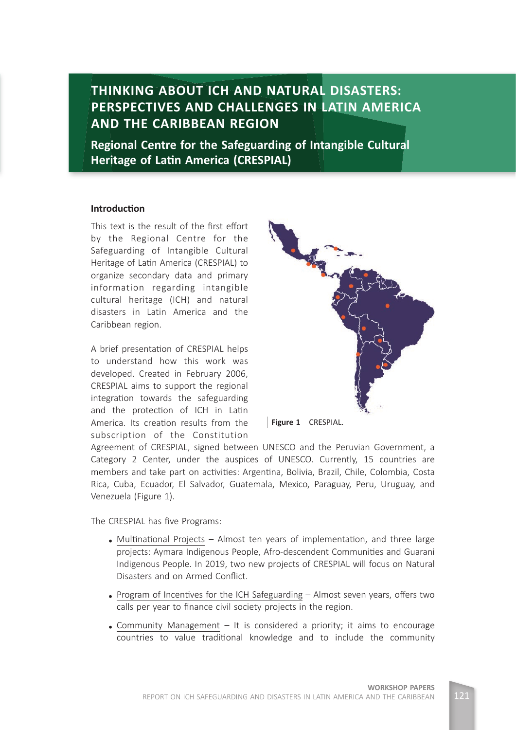**THINKING ABOUT ICH AND NATURAL DISASTERS: PERSPECTIVES AND CHALLENGES IN LATIN AMERICA AND THE CARIBBEAN REGION**

**Regional Centre for the Safeguarding of Intangible Cultural Heritage of Latin America (CRESPIAL)** 

## **Introduction**

This text is the result of the first effort by the Regional Centre for the Safeguarding of Intangible Cultural Heritage of Latin America (CRESPIAL) to organize secondary data and primary information regarding intangible cultural heritage (ICH) and natural disasters in Latin America and the Caribbean region.

A brief presentation of CRESPIAL helps to understand how this work was developed. Created in February 2006, CRESPIAL aims to support the regional integration towards the safeguarding and the protection of ICH in Latin America. Its creation results from the subscription of the Constitution





Agreement of CRESPIAL, signed between UNESCO and the Peruvian Government, a Category 2 Center, under the auspices of UNESCO. Currently, 15 countries are members and take part on activities: Argentina, Bolivia, Brazil, Chile, Colombia, Costa Rica, Cuba, Ecuador, El Salvador, Guatemala, Mexico, Paraguay, Peru, Uruguay, and Venezuela (Figure 1).

The CRESPIAL has five Programs:

- Multinational Projects Almost ten years of implementation, and three large projects: Aymara Indigenous People, Afro-descendent Communities and Guarani Indigenous People. In 2019, two new projects of CRESPIAL will focus on Natural Disasters and on Armed Conflict.
- Program of Incentives for the ICH Safeguarding  $-$  Almost seven years, offers two calls per year to finance civil society projects in the region.
- Community Management  $-$  It is considered a priority; it aims to encourage countries to value traditional knowledge and to include the community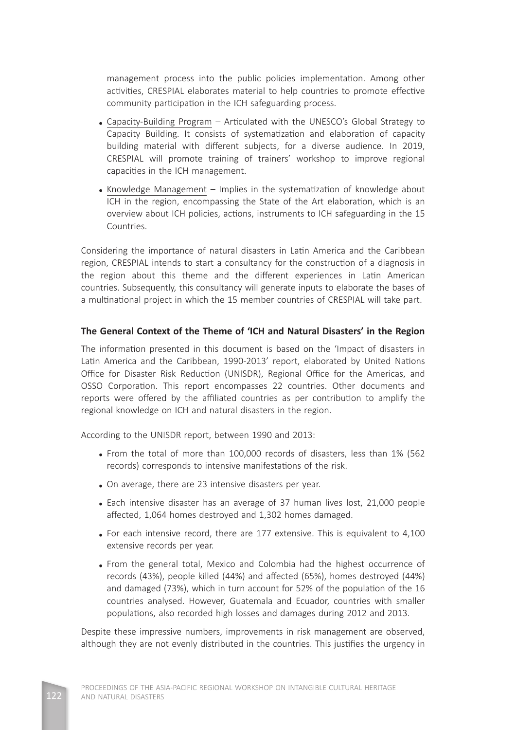management process into the public policies implementation. Among other activities, CRESPIAL elaborates material to help countries to promote effective community participation in the ICH safeguarding process.

- Capacity-Building Program Articulated with the UNESCO's Global Strategy to Capacity Building. It consists of systematization and elaboration of capacity building material with different subjects, for a diverse audience. In 2019, CRESPIAL will promote training of trainers' workshop to improve regional capacities in the ICH management.
- Knowledge Management Implies in the systematization of knowledge about ICH in the region, encompassing the State of the Art elaboration, which is an overview about ICH policies, actions, instruments to ICH safeguarding in the 15 Countries.

Considering the importance of natural disasters in Latin America and the Caribbean region, CRESPIAL intends to start a consultancy for the construction of a diagnosis in the region about this theme and the different experiences in Latin American countries. Subsequently, this consultancy will generate inputs to elaborate the bases of a multinational project in which the 15 member countries of CRESPIAL will take part.

# **The General Context of the Theme of 'ICH and Natural Disasters' in the Region**

The information presented in this document is based on the 'Impact of disasters in Latin America and the Caribbean, 1990-2013' report, elaborated by United Nations Office for Disaster Risk Reduction (UNISDR), Regional Office for the Americas, and OSSO Corporation. This report encompasses 22 countries. Other documents and reports were offered by the affiliated countries as per contribution to amplify the regional knowledge on ICH and natural disasters in the region.

According to the UNISDR report, between 1990 and 2013:

- From the total of more than 100,000 records of disasters, less than 1% (562 records) corresponds to intensive manifestations of the risk.
- On average, there are 23 intensive disasters per year.
- Each intensive disaster has an average of 37 human lives lost, 21,000 people affected, 1,064 homes destroyed and 1,302 homes damaged.
- For each intensive record, there are 177 extensive. This is equivalent to 4,100 extensive records per year.
- From the general total, Mexico and Colombia had the highest occurrence of records (43%), people killed (44%) and affected (65%), homes destroyed (44%) and damaged (73%), which in turn account for 52% of the population of the 16 countries analysed. However, Guatemala and Ecuador, countries with smaller populations, also recorded high losses and damages during 2012 and 2013.

Despite these impressive numbers, improvements in risk management are observed, although they are not evenly distributed in the countries. This justifies the urgency in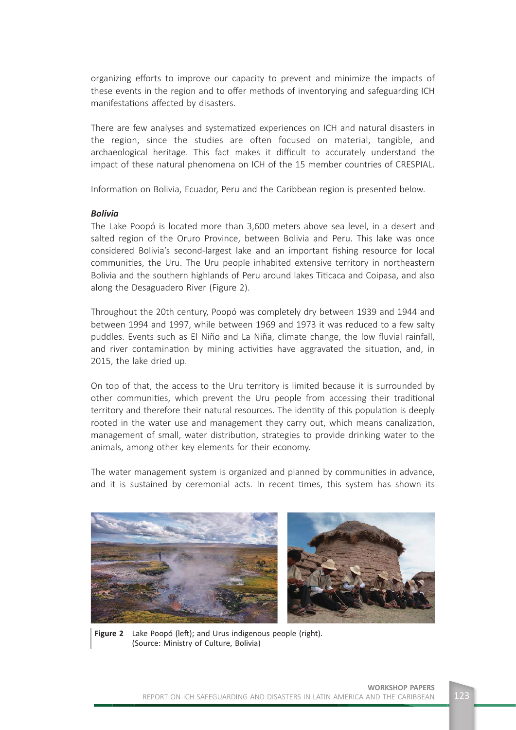organizing efforts to improve our capacity to prevent and minimize the impacts of these events in the region and to offer methods of inventorying and safeguarding ICH manifestations affected by disasters.

There are few analyses and systematized experiences on ICH and natural disasters in the region, since the studies are often focused on material, tangible, and archaeological heritage. This fact makes it difficult to accurately understand the impact of these natural phenomena on ICH of the 15 member countries of CRESPIAL.

Information on Bolivia, Ecuador, Peru and the Caribbean region is presented below.

#### *Bolivia*

The Lake Poopó is located more than 3,600 meters above sea level, in a desert and salted region of the Oruro Province, between Bolivia and Peru. This lake was once considered Bolivia's second-largest lake and an important fishing resource for local communities, the Uru. The Uru people inhabited extensive territory in northeastern Bolivia and the southern highlands of Peru around lakes Titicaca and Coipasa, and also along the Desaguadero River (Figure 2).

Throughout the 20th century, Poopó was completely dry between 1939 and 1944 and between 1994 and 1997, while between 1969 and 1973 it was reduced to a few salty puddles. Events such as El Niño and La Niña, climate change, the low fluvial rainfall, and river contamination by mining activities have aggravated the situation, and, in 2015, the lake dried up.

On top of that, the access to the Uru territory is limited because it is surrounded by other communities, which prevent the Uru people from accessing their traditional territory and therefore their natural resources. The identity of this population is deeply rooted in the water use and management they carry out, which means canalization, management of small, water distribution, strategies to provide drinking water to the animals, among other key elements for their economy.

The water management system is organized and planned by communities in advance, and it is sustained by ceremonial acts. In recent times, this system has shown its



Figure 2 Lake Poopó (left); and Urus indigenous people (right). (Source: Ministry of Culture, Bolivia)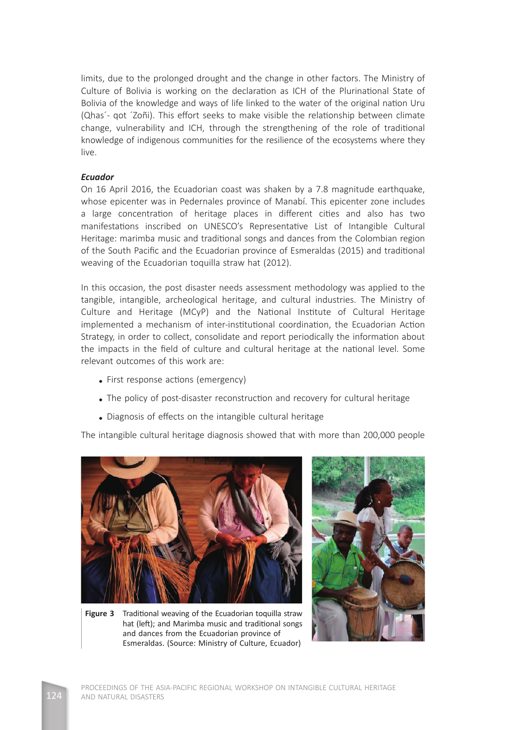limits, due to the prolonged drought and the change in other factors. The Ministry of Culture of Bolivia is working on the declaration as ICH of the Plurinational State of Bolivia of the knowledge and ways of life linked to the water of the original nation Uru (Qhas'- got 'Zoñi). This effort seeks to make visible the relationship between climate change, vulnerability and ICH, through the strengthening of the role of traditional knowledge of indigenous communities for the resilience of the ecosystems where they live.

### *Ecuador*

On 16 April 2016, the Ecuadorian coast was shaken by a 7.8 magnitude earthquake, whose epicenter was in Pedernales province of Manabí. This epicenter zone includes a large concentration of heritage places in different cities and also has two manifestations inscribed on UNESCO's Representative List of Intangible Cultural Heritage: marimba music and traditional songs and dances from the Colombian region of the South Pacific and the Ecuadorian province of Esmeraldas (2015) and traditional weaving of the Ecuadorian toquilla straw hat (2012).

In this occasion, the post disaster needs assessment methodology was applied to the tangible, intangible, archeological heritage, and cultural industries. The Ministry of Culture and Heritage (MCyP) and the National Institute of Cultural Heritage implemented a mechanism of inter-institutional coordination, the Ecuadorian Action Strategy, in order to collect, consolidate and report periodically the information about the impacts in the field of culture and cultural heritage at the national level. Some relevant outcomes of this work are:

- First response actions (emergency)
- The policy of post-disaster reconstruction and recovery for cultural heritage
- Diagnosis of effects on the intangible cultural heritage

The intangible cultural heritage diagnosis showed that with more than 200,000 people



**Figure 3** Traditional weaving of the Ecuadorian toquilla straw hat (left); and Marimba music and traditional songs and dances from the Ecuadorian province of Esmeraldas. (Source: Ministry of Culture, Ecuador)

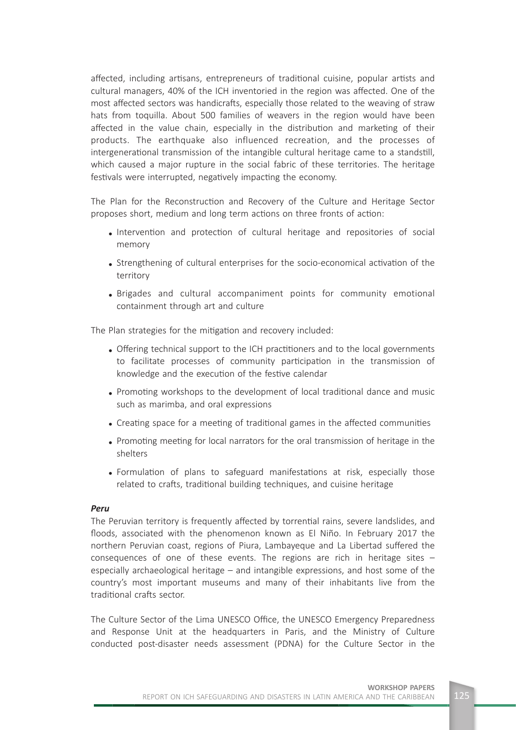affected, including artisans, entrepreneurs of traditional cuisine, popular artists and cultural managers, 40% of the ICH inventoried in the region was affected. One of the most affected sectors was handicrafts, especially those related to the weaving of straw hats from toquilla. About 500 families of weavers in the region would have been affected in the value chain, especially in the distribution and marketing of their products. The earthquake also influenced recreation, and the processes of intergenerational transmission of the intangible cultural heritage came to a standstill, which caused a major rupture in the social fabric of these territories. The heritage festivals were interrupted, negatively impacting the economy.

The Plan for the Reconstruction and Recovery of the Culture and Heritage Sector proposes short, medium and long term actions on three fronts of action:

- Intervention and protection of cultural heritage and repositories of social memory
- Strengthening of cultural enterprises for the socio-economical activation of the territory
- Brigades and cultural accompaniment points for community emotional containment through art and culture

The Plan strategies for the mitigation and recovery included:

- Offering technical support to the ICH practitioners and to the local governments to facilitate processes of community participation in the transmission of knowledge and the execution of the festive calendar
- Promoting workshops to the development of local traditional dance and music such as marimba, and oral expressions
- Creating space for a meeting of traditional games in the affected communities
- Promoting meeting for local narrators for the oral transmission of heritage in the shelters
- Formulation of plans to safeguard manifestations at risk, especially those related to crafts, traditional building techniques, and cuisine heritage

#### *Peru*

The Peruvian territory is frequently affected by torrential rains, severe landslides, and floods, associated with the phenomenon known as El Niño. In February 2017 the northern Peruvian coast, regions of Piura, Lambayeque and La Libertad suffered the consequences of one of these events. The regions are rich in heritage sites – especially archaeological heritage – and intangible expressions, and host some of the country's most important museums and many of their inhabitants live from the traditional crafts sector

The Culture Sector of the Lima UNESCO Office, the UNESCO Emergency Preparedness and Response Unit at the headquarters in Paris, and the Ministry of Culture conducted post-disaster needs assessment (PDNA) for the Culture Sector in the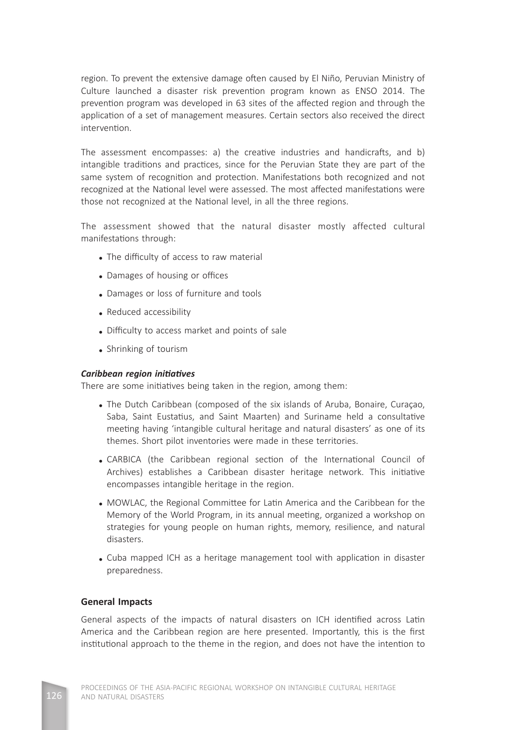region. To prevent the extensive damage often caused by El Niño, Peruvian Ministry of Culture launched a disaster risk prevention program known as ENSO 2014. The prevention program was developed in 63 sites of the affected region and through the application of a set of management measures. Certain sectors also received the direct intervention.

The assessment encompasses: a) the creative industries and handicrafts, and b) intangible traditions and practices, since for the Peruvian State they are part of the same system of recognition and protection. Manifestations both recognized and not recognized at the National level were assessed. The most affected manifestations were those not recognized at the National level, in all the three regions.

The assessment showed that the natural disaster mostly affected cultural manifestations through:

- The difficulty of access to raw material
- Damages of housing or offices
- Damages or loss of furniture and tools
- Reduced accessibility
- Difficulty to access market and points of sale
- Shrinking of tourism

## *Caribbean region initiatives*

There are some initiatives being taken in the region, among them:

- The Dutch Caribbean (composed of the six islands of Aruba, Bonaire, Curaçao, Saba, Saint Eustatius, and Saint Maarten) and Suriname held a consultative meeting having 'intangible cultural heritage and natural disasters' as one of its themes. Short pilot inventories were made in these territories.
- CARBICA (the Caribbean regional section of the International Council of Archives) establishes a Caribbean disaster heritage network. This initiative encompasses intangible heritage in the region.
- MOWLAC, the Regional Committee for Latin America and the Caribbean for the Memory of the World Program, in its annual meeting, organized a workshop on strategies for young people on human rights, memory, resilience, and natural disasters.
- Cuba mapped ICH as a heritage management tool with application in disaster preparedness.

# **General Impacts**

General aspects of the impacts of natural disasters on ICH identified across Latin America and the Caribbean region are here presented. Importantly, this is the first institutional approach to the theme in the region, and does not have the intention to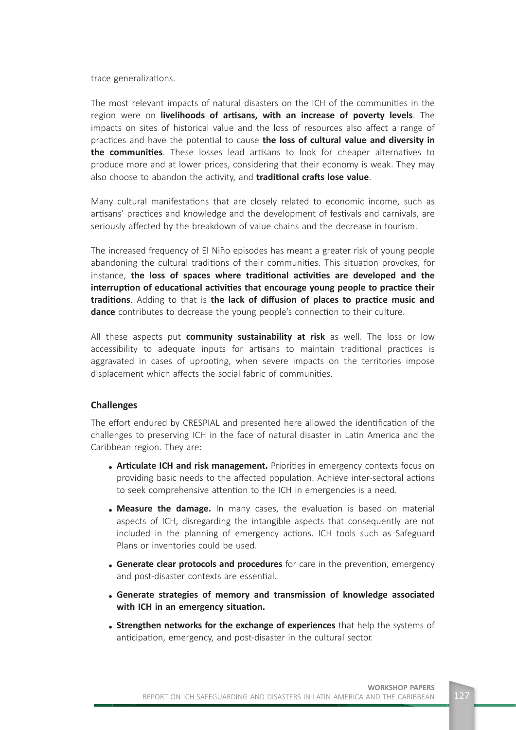trace generalizations.

The most relevant impacts of natural disasters on the ICH of the communities in the region were on **livelihoods of artisans, with an increase of poverty levels**. The impacts on sites of historical value and the loss of resources also affect a range of practices and have the potential to cause the loss of cultural value and diversity in **the communities**. These losses lead artisans to look for cheaper alternatives to produce more and at lower prices, considering that their economy is weak. They may also choose to abandon the activity, and **traditional crafts lose value**.

Many cultural manifestations that are closely related to economic income, such as artisans' practices and knowledge and the development of festivals and carnivals, are seriously affected by the breakdown of value chains and the decrease in tourism.

The increased frequency of El Niño episodes has meant a greater risk of young people abandoning the cultural traditions of their communities. This situation provokes, for instance, the loss of spaces where traditional activities are developed and the interruption of educational activities that encourage young people to practice their **traditions**. Adding to that is **the lack of diffusion of places to practice music and dance** contributes to decrease the young people's connection to their culture.

All these aspects put **community sustainability at risk** as well. The loss or low accessibility to adequate inputs for artisans to maintain traditional practices is aggravated in cases of uprooting, when severe impacts on the territories impose displacement which affects the social fabric of communities.

## **Challenges**

The effort endured by CRESPIAL and presented here allowed the identification of the challenges to preserving ICH in the face of natural disaster in Latin America and the Caribbean region. They are:

- Articulate ICH and risk management. Priorities in emergency contexts focus on providing basic needs to the affected population. Achieve inter-sectoral actions to seek comprehensive attention to the ICH in emergencies is a need.
- Measure the damage. In many cases, the evaluation is based on material aspects of ICH, disregarding the intangible aspects that consequently are not included in the planning of emergency actions. ICH tools such as Safeguard Plans or inventories could be used.
- Generate clear protocols and procedures for care in the prevention, emergency and post-disaster contexts are essential.
- **Generate strategies of memory and transmission of knowledge associated**  with ICH in an emergency situation.
- **Strengthen networks for the exchange of experiences** that help the systems of anticipation, emergency, and post-disaster in the cultural sector.